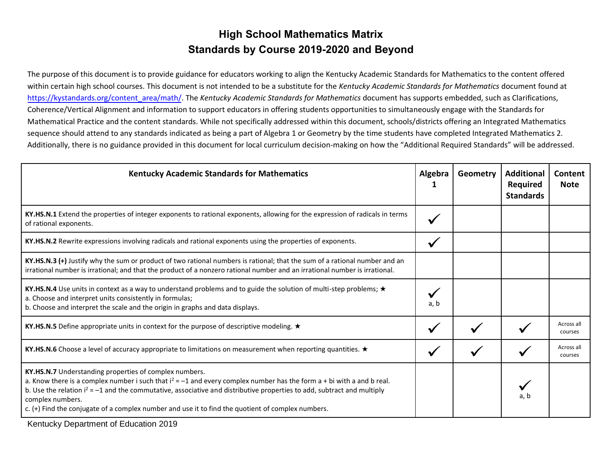## **High School Mathematics Matrix Standards by Course 2019-2020 and Beyond**

The purpose of this document is to provide guidance for educators working to align the Kentucky Academic Standards for Mathematics to the content offered within certain high school courses. This document is not intended to be a substitute for the *Kentucky Academic Standards for Mathematics* document found at [https://kystandards.org/content\\_area/math/.](https://kystandards.org/content_area/math/) The *Kentucky Academic Standards for Mathematics* document has supports embedded, such as Clarifications, Coherence/Vertical Alignment and information to support educators in offering students opportunities to simultaneously engage with the Standards for Mathematical Practice and the content standards. While not specifically addressed within this document, schools/districts offering an Integrated Mathematics sequence should attend to any standards indicated as being a part of Algebra 1 or Geometry by the time students have completed Integrated Mathematics 2. Additionally, there is no guidance provided in this document for local curriculum decision-making on how the "Additional Required Standards" will be addressed.

| <b>Kentucky Academic Standards for Mathematics</b>                                                                                                                                                                                                                                                                                                                                                                                       | Algebra | Geometry | <b>Additional</b><br><b>Required</b><br><b>Standards</b> | Content<br><b>Note</b> |
|------------------------------------------------------------------------------------------------------------------------------------------------------------------------------------------------------------------------------------------------------------------------------------------------------------------------------------------------------------------------------------------------------------------------------------------|---------|----------|----------------------------------------------------------|------------------------|
| KY.HS.N.1 Extend the properties of integer exponents to rational exponents, allowing for the expression of radicals in terms<br>of rational exponents.                                                                                                                                                                                                                                                                                   |         |          |                                                          |                        |
| KY.HS.N.2 Rewrite expressions involving radicals and rational exponents using the properties of exponents.                                                                                                                                                                                                                                                                                                                               | ✔       |          |                                                          |                        |
| KY.HS.N.3 (+) Justify why the sum or product of two rational numbers is rational; that the sum of a rational number and an<br>irrational number is irrational; and that the product of a nonzero rational number and an irrational number is irrational.                                                                                                                                                                                 |         |          |                                                          |                        |
| KY.HS.N.4 Use units in context as a way to understand problems and to guide the solution of multi-step problems; ★<br>a. Choose and interpret units consistently in formulas;<br>b. Choose and interpret the scale and the origin in graphs and data displays.                                                                                                                                                                           | a. b    |          |                                                          |                        |
| KY.HS.N.5 Define appropriate units in context for the purpose of descriptive modeling. $\star$                                                                                                                                                                                                                                                                                                                                           |         |          |                                                          | Across all<br>courses  |
| KY.HS.N.6 Choose a level of accuracy appropriate to limitations on measurement when reporting quantities. ★                                                                                                                                                                                                                                                                                                                              |         |          |                                                          | Across all<br>courses  |
| KY.HS.N.7 Understanding properties of complex numbers.<br>a. Know there is a complex number i such that $i^2 = -1$ and every complex number has the form a + bi with a and b real.<br>b. Use the relation $i^2 = -1$ and the commutative, associative and distributive properties to add, subtract and multiply<br>complex numbers.<br>c. (+) Find the conjugate of a complex number and use it to find the quotient of complex numbers. |         |          | a. b                                                     |                        |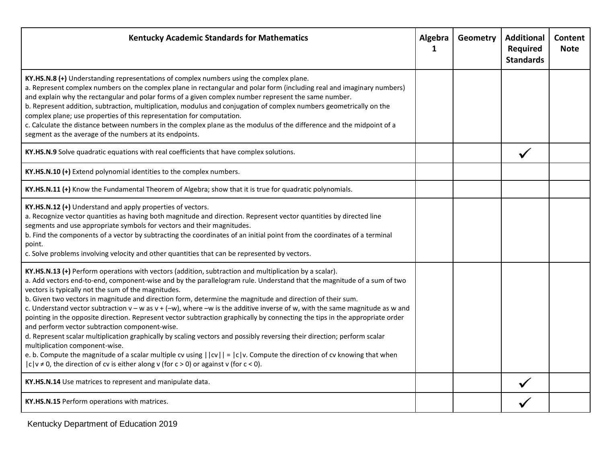| <b>Kentucky Academic Standards for Mathematics</b>                                                                                                                                                                                                                                                                                                                                                                                                                                                                                                                                                                                                                                                                                                                                                                                                                                                                                                                                                                                                                                                                           | Algebra<br>1 | Geometry | <b>Additional</b><br><b>Required</b><br><b>Standards</b> | Content<br><b>Note</b> |
|------------------------------------------------------------------------------------------------------------------------------------------------------------------------------------------------------------------------------------------------------------------------------------------------------------------------------------------------------------------------------------------------------------------------------------------------------------------------------------------------------------------------------------------------------------------------------------------------------------------------------------------------------------------------------------------------------------------------------------------------------------------------------------------------------------------------------------------------------------------------------------------------------------------------------------------------------------------------------------------------------------------------------------------------------------------------------------------------------------------------------|--------------|----------|----------------------------------------------------------|------------------------|
| KY.HS.N.8 (+) Understanding representations of complex numbers using the complex plane.<br>a. Represent complex numbers on the complex plane in rectangular and polar form (including real and imaginary numbers)<br>and explain why the rectangular and polar forms of a given complex number represent the same number.<br>b. Represent addition, subtraction, multiplication, modulus and conjugation of complex numbers geometrically on the<br>complex plane; use properties of this representation for computation.<br>c. Calculate the distance between numbers in the complex plane as the modulus of the difference and the midpoint of a<br>segment as the average of the numbers at its endpoints.                                                                                                                                                                                                                                                                                                                                                                                                                |              |          |                                                          |                        |
| KY.HS.N.9 Solve quadratic equations with real coefficients that have complex solutions.                                                                                                                                                                                                                                                                                                                                                                                                                                                                                                                                                                                                                                                                                                                                                                                                                                                                                                                                                                                                                                      |              |          |                                                          |                        |
| KY.HS.N.10 (+) Extend polynomial identities to the complex numbers.                                                                                                                                                                                                                                                                                                                                                                                                                                                                                                                                                                                                                                                                                                                                                                                                                                                                                                                                                                                                                                                          |              |          |                                                          |                        |
| KY.HS.N.11 (+) Know the Fundamental Theorem of Algebra; show that it is true for quadratic polynomials.                                                                                                                                                                                                                                                                                                                                                                                                                                                                                                                                                                                                                                                                                                                                                                                                                                                                                                                                                                                                                      |              |          |                                                          |                        |
| KY.HS.N.12 (+) Understand and apply properties of vectors.<br>a. Recognize vector quantities as having both magnitude and direction. Represent vector quantities by directed line<br>segments and use appropriate symbols for vectors and their magnitudes.<br>b. Find the components of a vector by subtracting the coordinates of an initial point from the coordinates of a terminal<br>point.<br>c. Solve problems involving velocity and other quantities that can be represented by vectors.                                                                                                                                                                                                                                                                                                                                                                                                                                                                                                                                                                                                                           |              |          |                                                          |                        |
| KY.HS.N.13 (+) Perform operations with vectors (addition, subtraction and multiplication by a scalar).<br>a. Add vectors end-to-end, component-wise and by the parallelogram rule. Understand that the magnitude of a sum of two<br>vectors is typically not the sum of the magnitudes.<br>b. Given two vectors in magnitude and direction form, determine the magnitude and direction of their sum.<br>c. Understand vector subtraction $v - w$ as $v + (-w)$ , where $-w$ is the additive inverse of w, with the same magnitude as w and<br>pointing in the opposite direction. Represent vector subtraction graphically by connecting the tips in the appropriate order<br>and perform vector subtraction component-wise.<br>d. Represent scalar multiplication graphically by scaling vectors and possibly reversing their direction; perform scalar<br>multiplication component-wise.<br>e. b. Compute the magnitude of a scalar multiple cv using $  cv   =  c v$ . Compute the direction of cv knowing that when<br>$ c v \neq 0$ , the direction of cv is either along v (for $c > 0$ ) or against v (for $c < 0$ ). |              |          |                                                          |                        |
| KY.HS.N.14 Use matrices to represent and manipulate data.                                                                                                                                                                                                                                                                                                                                                                                                                                                                                                                                                                                                                                                                                                                                                                                                                                                                                                                                                                                                                                                                    |              |          |                                                          |                        |
| KY.HS.N.15 Perform operations with matrices.                                                                                                                                                                                                                                                                                                                                                                                                                                                                                                                                                                                                                                                                                                                                                                                                                                                                                                                                                                                                                                                                                 |              |          |                                                          |                        |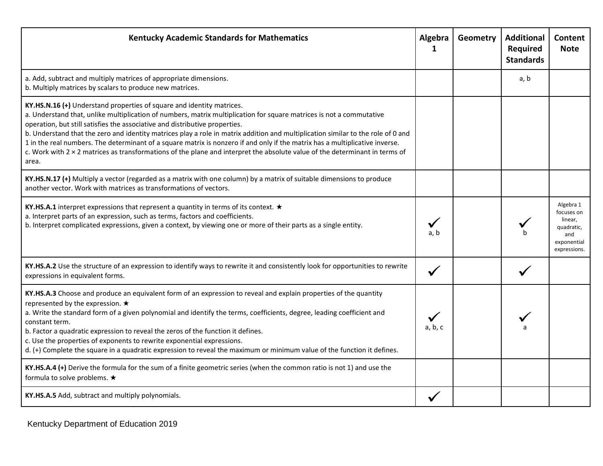| <b>Kentucky Academic Standards for Mathematics</b>                                                                                                                                                                                                                                                                                                                                                                                                                                                                                                                                                                                                                                              | Algebra<br>1 | Geometry | <b>Additional</b><br>Required<br><b>Standards</b> | Content<br><b>Note</b>                                                                 |
|-------------------------------------------------------------------------------------------------------------------------------------------------------------------------------------------------------------------------------------------------------------------------------------------------------------------------------------------------------------------------------------------------------------------------------------------------------------------------------------------------------------------------------------------------------------------------------------------------------------------------------------------------------------------------------------------------|--------------|----------|---------------------------------------------------|----------------------------------------------------------------------------------------|
| a. Add, subtract and multiply matrices of appropriate dimensions.<br>b. Multiply matrices by scalars to produce new matrices.                                                                                                                                                                                                                                                                                                                                                                                                                                                                                                                                                                   |              |          | a, b                                              |                                                                                        |
| KY.HS.N.16 (+) Understand properties of square and identity matrices.<br>a. Understand that, unlike multiplication of numbers, matrix multiplication for square matrices is not a commutative<br>operation, but still satisfies the associative and distributive properties.<br>b. Understand that the zero and identity matrices play a role in matrix addition and multiplication similar to the role of 0 and<br>1 in the real numbers. The determinant of a square matrix is nonzero if and only if the matrix has a multiplicative inverse.<br>c. Work with $2 \times 2$ matrices as transformations of the plane and interpret the absolute value of the determinant in terms of<br>area. |              |          |                                                   |                                                                                        |
| KY.HS.N.17 (+) Multiply a vector (regarded as a matrix with one column) by a matrix of suitable dimensions to produce<br>another vector. Work with matrices as transformations of vectors.                                                                                                                                                                                                                                                                                                                                                                                                                                                                                                      |              |          |                                                   |                                                                                        |
| KY.HS.A.1 interpret expressions that represent a quantity in terms of its context. $\star$<br>a. Interpret parts of an expression, such as terms, factors and coefficients.<br>b. Interpret complicated expressions, given a context, by viewing one or more of their parts as a single entity.                                                                                                                                                                                                                                                                                                                                                                                                 | a, b         |          |                                                   | Algebra 1<br>focuses on<br>linear.<br>quadratic,<br>and<br>exponential<br>expressions. |
| KY.HS.A.2 Use the structure of an expression to identify ways to rewrite it and consistently look for opportunities to rewrite<br>expressions in equivalent forms.                                                                                                                                                                                                                                                                                                                                                                                                                                                                                                                              |              |          |                                                   |                                                                                        |
| KY.HS.A.3 Choose and produce an equivalent form of an expression to reveal and explain properties of the quantity<br>represented by the expression. $\star$<br>a. Write the standard form of a given polynomial and identify the terms, coefficients, degree, leading coefficient and<br>constant term.<br>b. Factor a quadratic expression to reveal the zeros of the function it defines.<br>c. Use the properties of exponents to rewrite exponential expressions.<br>d. (+) Complete the square in a quadratic expression to reveal the maximum or minimum value of the function it defines.                                                                                                | a, b, c      |          |                                                   |                                                                                        |
| KY.HS.A.4 (+) Derive the formula for the sum of a finite geometric series (when the common ratio is not 1) and use the<br>formula to solve problems. ★                                                                                                                                                                                                                                                                                                                                                                                                                                                                                                                                          |              |          |                                                   |                                                                                        |
| KY.HS.A.5 Add, subtract and multiply polynomials.                                                                                                                                                                                                                                                                                                                                                                                                                                                                                                                                                                                                                                               |              |          |                                                   |                                                                                        |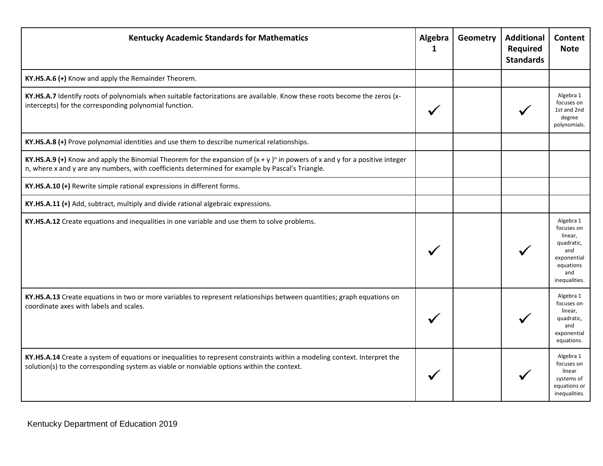| <b>Kentucky Academic Standards for Mathematics</b>                                                                                                                                                                                 | Algebra<br>1 | Geometry | <b>Additional</b><br>Required<br><b>Standards</b> | Content<br><b>Note</b>                                                                                      |
|------------------------------------------------------------------------------------------------------------------------------------------------------------------------------------------------------------------------------------|--------------|----------|---------------------------------------------------|-------------------------------------------------------------------------------------------------------------|
| KY.HS.A.6 (+) Know and apply the Remainder Theorem.                                                                                                                                                                                |              |          |                                                   |                                                                                                             |
| KY.HS.A.7 Identify roots of polynomials when suitable factorizations are available. Know these roots become the zeros (x-<br>intercepts) for the corresponding polynomial function.                                                |              |          |                                                   | Algebra 1<br>focuses on<br>1st and 2nd<br>degree<br>polynomials.                                            |
| KY.HS.A.8 (+) Prove polynomial identities and use them to describe numerical relationships.                                                                                                                                        |              |          |                                                   |                                                                                                             |
| KY.HS.A.9 (+) Know and apply the Binomial Theorem for the expansion of $(x + y)^n$ in powers of x and y for a positive integer<br>n, where x and y are any numbers, with coefficients determined for example by Pascal's Triangle. |              |          |                                                   |                                                                                                             |
| KY.HS.A.10 (+) Rewrite simple rational expressions in different forms.                                                                                                                                                             |              |          |                                                   |                                                                                                             |
| KY.HS.A.11 (+) Add, subtract, multiply and divide rational algebraic expressions.                                                                                                                                                  |              |          |                                                   |                                                                                                             |
| KY.HS.A.12 Create equations and inequalities in one variable and use them to solve problems.                                                                                                                                       |              |          |                                                   | Algebra 1<br>focuses on<br>linear,<br>quadratic,<br>and<br>exponential<br>equations<br>and<br>inequalities. |
| KY.HS.A.13 Create equations in two or more variables to represent relationships between quantities; graph equations on<br>coordinate axes with labels and scales.                                                                  |              |          |                                                   | Algebra 1<br>focuses on<br>linear,<br>quadratic,<br>and<br>exponential<br>equations.                        |
| KY.HS.A.14 Create a system of equations or inequalities to represent constraints within a modeling context. Interpret the<br>solution(s) to the corresponding system as viable or nonviable options within the context.            |              |          |                                                   | Algebra 1<br>focuses on<br>linear<br>systems of<br>equations or<br>inequalities.                            |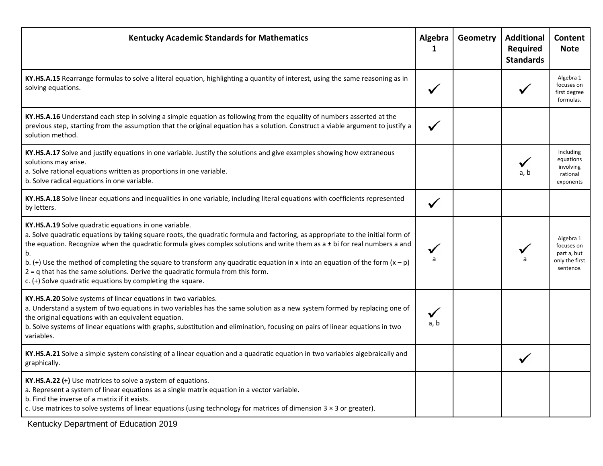| <b>Kentucky Academic Standards for Mathematics</b>                                                                                                                                                                                                                                                                                                                                                                                                                                                                                                                                                                    | Algebra<br>$\mathbf{1}$ | Geometry | <b>Additional</b><br>Required<br><b>Standards</b> | Content<br><b>Note</b>                                                |
|-----------------------------------------------------------------------------------------------------------------------------------------------------------------------------------------------------------------------------------------------------------------------------------------------------------------------------------------------------------------------------------------------------------------------------------------------------------------------------------------------------------------------------------------------------------------------------------------------------------------------|-------------------------|----------|---------------------------------------------------|-----------------------------------------------------------------------|
| KY.HS.A.15 Rearrange formulas to solve a literal equation, highlighting a quantity of interest, using the same reasoning as in<br>solving equations.                                                                                                                                                                                                                                                                                                                                                                                                                                                                  |                         |          |                                                   | Algebra 1<br>focuses on<br>first degree<br>formulas.                  |
| KY.HS.A.16 Understand each step in solving a simple equation as following from the equality of numbers asserted at the<br>previous step, starting from the assumption that the original equation has a solution. Construct a viable argument to justify a<br>solution method.                                                                                                                                                                                                                                                                                                                                         |                         |          |                                                   |                                                                       |
| KY.HS.A.17 Solve and justify equations in one variable. Justify the solutions and give examples showing how extraneous<br>solutions may arise.<br>a. Solve rational equations written as proportions in one variable.<br>b. Solve radical equations in one variable.                                                                                                                                                                                                                                                                                                                                                  |                         |          | a, b                                              | Including<br>equations<br>involving<br>rational<br>exponents          |
| KY.HS.A.18 Solve linear equations and inequalities in one variable, including literal equations with coefficients represented<br>by letters.                                                                                                                                                                                                                                                                                                                                                                                                                                                                          |                         |          |                                                   |                                                                       |
| KY.HS.A.19 Solve quadratic equations in one variable.<br>a. Solve quadratic equations by taking square roots, the quadratic formula and factoring, as appropriate to the initial form of<br>the equation. Recognize when the quadratic formula gives complex solutions and write them as a $\pm$ bi for real numbers a and<br>b.<br>b. (+) Use the method of completing the square to transform any quadratic equation in x into an equation of the form $(x - p)$<br>$2 = q$ that has the same solutions. Derive the quadratic formula from this form.<br>c. (+) Solve quadratic equations by completing the square. | a                       |          |                                                   | Algebra 1<br>focuses on<br>part a, but<br>only the first<br>sentence. |
| KY.HS.A.20 Solve systems of linear equations in two variables.<br>a. Understand a system of two equations in two variables has the same solution as a new system formed by replacing one of<br>the original equations with an equivalent equation.<br>b. Solve systems of linear equations with graphs, substitution and elimination, focusing on pairs of linear equations in two<br>variables.                                                                                                                                                                                                                      | a, b                    |          |                                                   |                                                                       |
| KY.HS.A.21 Solve a simple system consisting of a linear equation and a quadratic equation in two variables algebraically and<br>graphically.                                                                                                                                                                                                                                                                                                                                                                                                                                                                          |                         |          |                                                   |                                                                       |
| KY.HS.A.22 (+) Use matrices to solve a system of equations.<br>a. Represent a system of linear equations as a single matrix equation in a vector variable.<br>b. Find the inverse of a matrix if it exists.<br>c. Use matrices to solve systems of linear equations (using technology for matrices of dimension $3 \times 3$ or greater).                                                                                                                                                                                                                                                                             |                         |          |                                                   |                                                                       |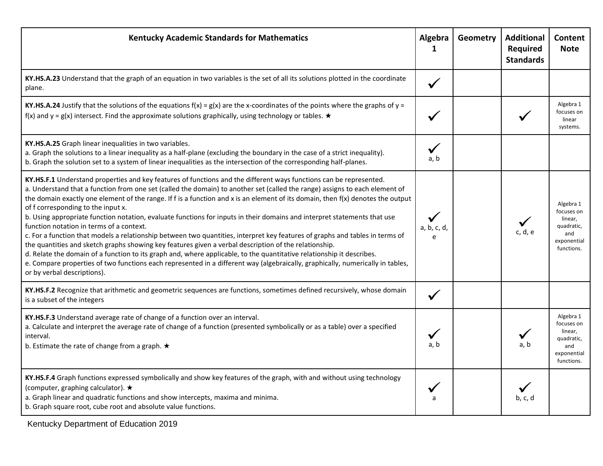| <b>Kentucky Academic Standards for Mathematics</b>                                                                                                                                                                                                                                                                                                                                                                                                                                                                                                                                                                                                                                                                                                                                                                                                                                                                                                                                                                                                                                                                                    | Algebra<br>1 | Geometry | <b>Additional</b><br>Required<br><b>Standards</b> | Content<br><b>Note</b>                                                               |
|---------------------------------------------------------------------------------------------------------------------------------------------------------------------------------------------------------------------------------------------------------------------------------------------------------------------------------------------------------------------------------------------------------------------------------------------------------------------------------------------------------------------------------------------------------------------------------------------------------------------------------------------------------------------------------------------------------------------------------------------------------------------------------------------------------------------------------------------------------------------------------------------------------------------------------------------------------------------------------------------------------------------------------------------------------------------------------------------------------------------------------------|--------------|----------|---------------------------------------------------|--------------------------------------------------------------------------------------|
| KY.HS.A.23 Understand that the graph of an equation in two variables is the set of all its solutions plotted in the coordinate<br>plane.                                                                                                                                                                                                                                                                                                                                                                                                                                                                                                                                                                                                                                                                                                                                                                                                                                                                                                                                                                                              | $\checkmark$ |          |                                                   |                                                                                      |
| KY.HS.A.24 Justify that the solutions of the equations $f(x) = g(x)$ are the x-coordinates of the points where the graphs of y =<br>f(x) and y = g(x) intersect. Find the approximate solutions graphically, using technology or tables. $\star$                                                                                                                                                                                                                                                                                                                                                                                                                                                                                                                                                                                                                                                                                                                                                                                                                                                                                      |              |          |                                                   | Algebra 1<br>focuses on<br>linear<br>systems.                                        |
| KY.HS.A.25 Graph linear inequalities in two variables.<br>a. Graph the solutions to a linear inequality as a half-plane (excluding the boundary in the case of a strict inequality).<br>b. Graph the solution set to a system of linear inequalities as the intersection of the corresponding half-planes.                                                                                                                                                                                                                                                                                                                                                                                                                                                                                                                                                                                                                                                                                                                                                                                                                            | ✔<br>a, b    |          |                                                   |                                                                                      |
| KY.HS.F.1 Understand properties and key features of functions and the different ways functions can be represented.<br>a. Understand that a function from one set (called the domain) to another set (called the range) assigns to each element of<br>the domain exactly one element of the range. If f is a function and x is an element of its domain, then f(x) denotes the output<br>of f corresponding to the input x.<br>b. Using appropriate function notation, evaluate functions for inputs in their domains and interpret statements that use<br>function notation in terms of a context.<br>c. For a function that models a relationship between two quantities, interpret key features of graphs and tables in terms of<br>the quantities and sketch graphs showing key features given a verbal description of the relationship.<br>d. Relate the domain of a function to its graph and, where applicable, to the quantitative relationship it describes.<br>e. Compare properties of two functions each represented in a different way (algebraically, graphically, numerically in tables,<br>or by verbal descriptions). | a, b, c, d,  |          | c, d, e                                           | Algebra 1<br>focuses on<br>linear,<br>quadratic,<br>and<br>exponential<br>functions. |
| KY.HS.F.2 Recognize that arithmetic and geometric sequences are functions, sometimes defined recursively, whose domain<br>is a subset of the integers                                                                                                                                                                                                                                                                                                                                                                                                                                                                                                                                                                                                                                                                                                                                                                                                                                                                                                                                                                                 |              |          |                                                   |                                                                                      |
| KY.HS.F.3 Understand average rate of change of a function over an interval.<br>a. Calculate and interpret the average rate of change of a function (presented symbolically or as a table) over a specified<br>interval.<br>b. Estimate the rate of change from a graph. $\star$                                                                                                                                                                                                                                                                                                                                                                                                                                                                                                                                                                                                                                                                                                                                                                                                                                                       | a. b         |          | a, b                                              | Algebra 1<br>focuses on<br>linear,<br>quadratic,<br>and<br>exponential<br>functions. |
| KY.HS.F.4 Graph functions expressed symbolically and show key features of the graph, with and without using technology<br>(computer, graphing calculator). ★<br>a. Graph linear and quadratic functions and show intercepts, maxima and minima.<br>b. Graph square root, cube root and absolute value functions.                                                                                                                                                                                                                                                                                                                                                                                                                                                                                                                                                                                                                                                                                                                                                                                                                      |              |          | b, c, d                                           |                                                                                      |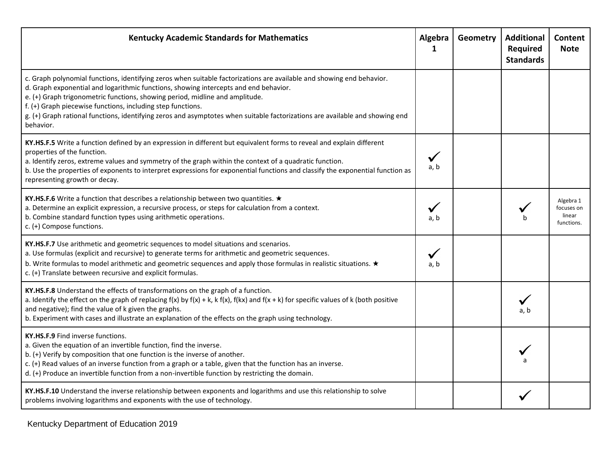| <b>Kentucky Academic Standards for Mathematics</b>                                                                                                                                                                                                                                                                                                                                                                                                                                                        | Algebra<br>1 | Geometry | <b>Additional</b><br>Required<br><b>Standards</b> | Content<br><b>Note</b>                          |
|-----------------------------------------------------------------------------------------------------------------------------------------------------------------------------------------------------------------------------------------------------------------------------------------------------------------------------------------------------------------------------------------------------------------------------------------------------------------------------------------------------------|--------------|----------|---------------------------------------------------|-------------------------------------------------|
| c. Graph polynomial functions, identifying zeros when suitable factorizations are available and showing end behavior.<br>d. Graph exponential and logarithmic functions, showing intercepts and end behavior.<br>e. (+) Graph trigonometric functions, showing period, midline and amplitude.<br>f. (+) Graph piecewise functions, including step functions.<br>g. (+) Graph rational functions, identifying zeros and asymptotes when suitable factorizations are available and showing end<br>behavior. |              |          |                                                   |                                                 |
| KY.HS.F.5 Write a function defined by an expression in different but equivalent forms to reveal and explain different<br>properties of the function.<br>a. Identify zeros, extreme values and symmetry of the graph within the context of a quadratic function.<br>b. Use the properties of exponents to interpret expressions for exponential functions and classify the exponential function as<br>representing growth or decay.                                                                        | a, b         |          |                                                   |                                                 |
| KY.HS.F.6 Write a function that describes a relationship between two quantities. $\star$<br>a. Determine an explicit expression, a recursive process, or steps for calculation from a context.<br>b. Combine standard function types using arithmetic operations.<br>c. (+) Compose functions.                                                                                                                                                                                                            | a, b         |          |                                                   | Algebra 1<br>focuses on<br>linear<br>functions. |
| KY.HS.F.7 Use arithmetic and geometric sequences to model situations and scenarios.<br>a. Use formulas (explicit and recursive) to generate terms for arithmetic and geometric sequences.<br>b. Write formulas to model arithmetic and geometric sequences and apply those formulas in realistic situations. $\star$<br>c. (+) Translate between recursive and explicit formulas.                                                                                                                         | a, b         |          |                                                   |                                                 |
| KY.HS.F.8 Understand the effects of transformations on the graph of a function.<br>a. Identify the effect on the graph of replacing $f(x)$ by $f(x) + k$ , k $f(x)$ , $f(kx)$ and $f(x + k)$ for specific values of k (both positive<br>and negative); find the value of k given the graphs.<br>b. Experiment with cases and illustrate an explanation of the effects on the graph using technology.                                                                                                      |              |          |                                                   |                                                 |
| KY.HS.F.9 Find inverse functions.<br>a. Given the equation of an invertible function, find the inverse.<br>b. (+) Verify by composition that one function is the inverse of another.<br>c. (+) Read values of an inverse function from a graph or a table, given that the function has an inverse.<br>d. (+) Produce an invertible function from a non-invertible function by restricting the domain.                                                                                                     |              |          |                                                   |                                                 |
| KY.HS.F.10 Understand the inverse relationship between exponents and logarithms and use this relationship to solve<br>problems involving logarithms and exponents with the use of technology.                                                                                                                                                                                                                                                                                                             |              |          |                                                   |                                                 |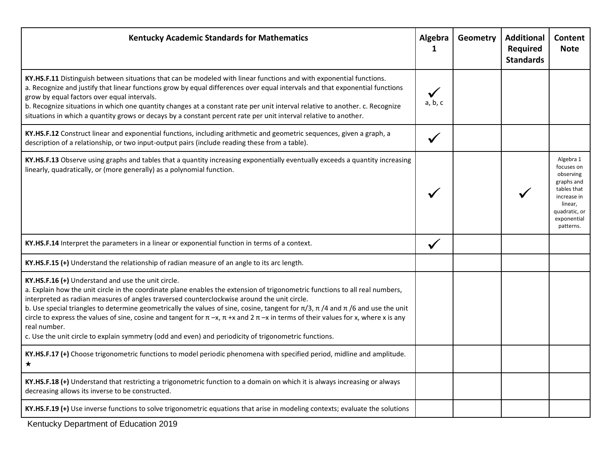| <b>Kentucky Academic Standards for Mathematics</b>                                                                                                                                                                                                                                                                                                                                                                                                                                                                                                                                                                                                                                                           | Algebra<br>1 | Geometry | <b>Additional</b><br>Required<br><b>Standards</b> | Content<br><b>Note</b>                                                                                                                   |
|--------------------------------------------------------------------------------------------------------------------------------------------------------------------------------------------------------------------------------------------------------------------------------------------------------------------------------------------------------------------------------------------------------------------------------------------------------------------------------------------------------------------------------------------------------------------------------------------------------------------------------------------------------------------------------------------------------------|--------------|----------|---------------------------------------------------|------------------------------------------------------------------------------------------------------------------------------------------|
| KY.HS.F.11 Distinguish between situations that can be modeled with linear functions and with exponential functions.<br>a. Recognize and justify that linear functions grow by equal differences over equal intervals and that exponential functions<br>grow by equal factors over equal intervals.<br>b. Recognize situations in which one quantity changes at a constant rate per unit interval relative to another. c. Recognize<br>situations in which a quantity grows or decays by a constant percent rate per unit interval relative to another.                                                                                                                                                       | a, b, c      |          |                                                   |                                                                                                                                          |
| KY.HS.F.12 Construct linear and exponential functions, including arithmetic and geometric sequences, given a graph, a<br>description of a relationship, or two input-output pairs (include reading these from a table).                                                                                                                                                                                                                                                                                                                                                                                                                                                                                      |              |          |                                                   |                                                                                                                                          |
| KY.HS.F.13 Observe using graphs and tables that a quantity increasing exponentially eventually exceeds a quantity increasing<br>linearly, quadratically, or (more generally) as a polynomial function.                                                                                                                                                                                                                                                                                                                                                                                                                                                                                                       |              |          |                                                   | Algebra 1<br>focuses on<br>observing<br>graphs and<br>tables that<br>increase in<br>linear,<br>quadratic, or<br>exponential<br>patterns. |
| KY.HS.F.14 Interpret the parameters in a linear or exponential function in terms of a context.                                                                                                                                                                                                                                                                                                                                                                                                                                                                                                                                                                                                               | $\checkmark$ |          |                                                   |                                                                                                                                          |
| KY.HS.F.15 (+) Understand the relationship of radian measure of an angle to its arc length.                                                                                                                                                                                                                                                                                                                                                                                                                                                                                                                                                                                                                  |              |          |                                                   |                                                                                                                                          |
| KY.HS.F.16 (+) Understand and use the unit circle.<br>a. Explain how the unit circle in the coordinate plane enables the extension of trigonometric functions to all real numbers,<br>interpreted as radian measures of angles traversed counterclockwise around the unit circle.<br>b. Use special triangles to determine geometrically the values of sine, cosine, tangent for $\pi/3$ , $\pi/4$ and $\pi/6$ and use the unit<br>circle to express the values of sine, cosine and tangent for $\pi - x$ , $\pi + x$ and $2\pi - x$ in terms of their values for x, where x is any<br>real number.<br>c. Use the unit circle to explain symmetry (odd and even) and periodicity of trigonometric functions. |              |          |                                                   |                                                                                                                                          |
| KY.HS.F.17 (+) Choose trigonometric functions to model periodic phenomena with specified period, midline and amplitude.<br>$\star$                                                                                                                                                                                                                                                                                                                                                                                                                                                                                                                                                                           |              |          |                                                   |                                                                                                                                          |
| KY.HS.F.18 (+) Understand that restricting a trigonometric function to a domain on which it is always increasing or always<br>decreasing allows its inverse to be constructed.                                                                                                                                                                                                                                                                                                                                                                                                                                                                                                                               |              |          |                                                   |                                                                                                                                          |
| KY.HS.F.19 (+) Use inverse functions to solve trigonometric equations that arise in modeling contexts; evaluate the solutions                                                                                                                                                                                                                                                                                                                                                                                                                                                                                                                                                                                |              |          |                                                   |                                                                                                                                          |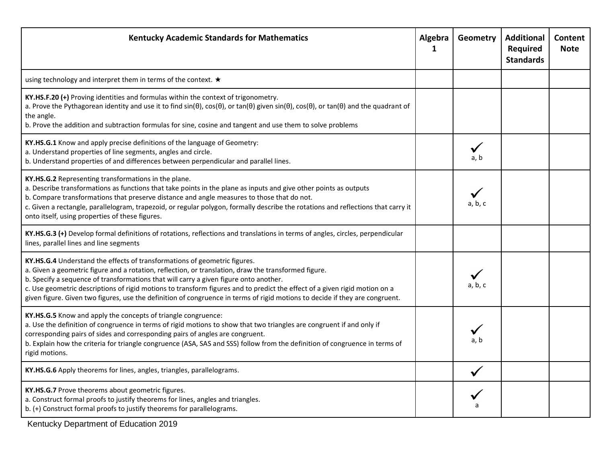| <b>Kentucky Academic Standards for Mathematics</b>                                                                                                                                                                                                                                                                                                                                                                                                                                                                                       | Algebra<br>$\mathbf 1$ | Geometry | <b>Additional</b><br>Required<br><b>Standards</b> | Content<br><b>Note</b> |
|------------------------------------------------------------------------------------------------------------------------------------------------------------------------------------------------------------------------------------------------------------------------------------------------------------------------------------------------------------------------------------------------------------------------------------------------------------------------------------------------------------------------------------------|------------------------|----------|---------------------------------------------------|------------------------|
| using technology and interpret them in terms of the context. ★                                                                                                                                                                                                                                                                                                                                                                                                                                                                           |                        |          |                                                   |                        |
| KY.HS.F.20 (+) Proving identities and formulas within the context of trigonometry.<br>a. Prove the Pythagorean identity and use it to find $sin(\theta)$ , $cos(\theta)$ , or $tan(\theta)$ given $sin(\theta)$ , $cos(\theta)$ , or $tan(\theta)$ and the quadrant of<br>the angle.<br>b. Prove the addition and subtraction formulas for sine, cosine and tangent and use them to solve problems                                                                                                                                       |                        |          |                                                   |                        |
| KY.HS.G.1 Know and apply precise definitions of the language of Geometry:<br>a. Understand properties of line segments, angles and circle.<br>b. Understand properties of and differences between perpendicular and parallel lines.                                                                                                                                                                                                                                                                                                      |                        | a, b     |                                                   |                        |
| KY.HS.G.2 Representing transformations in the plane.<br>a. Describe transformations as functions that take points in the plane as inputs and give other points as outputs<br>b. Compare transformations that preserve distance and angle measures to those that do not.<br>c. Given a rectangle, parallelogram, trapezoid, or regular polygon, formally describe the rotations and reflections that carry it<br>onto itself, using properties of these figures.                                                                          |                        | a, b, c  |                                                   |                        |
| KY.HS.G.3 (+) Develop formal definitions of rotations, reflections and translations in terms of angles, circles, perpendicular<br>lines, parallel lines and line segments                                                                                                                                                                                                                                                                                                                                                                |                        |          |                                                   |                        |
| KY.HS.G.4 Understand the effects of transformations of geometric figures.<br>a. Given a geometric figure and a rotation, reflection, or translation, draw the transformed figure.<br>b. Specify a sequence of transformations that will carry a given figure onto another.<br>c. Use geometric descriptions of rigid motions to transform figures and to predict the effect of a given rigid motion on a<br>given figure. Given two figures, use the definition of congruence in terms of rigid motions to decide if they are congruent. |                        | a, b, c  |                                                   |                        |
| KY.HS.G.5 Know and apply the concepts of triangle congruence:<br>a. Use the definition of congruence in terms of rigid motions to show that two triangles are congruent if and only if<br>corresponding pairs of sides and corresponding pairs of angles are congruent.<br>b. Explain how the criteria for triangle congruence (ASA, SAS and SSS) follow from the definition of congruence in terms of<br>rigid motions.                                                                                                                 |                        | a. b     |                                                   |                        |
| KY.HS.G.6 Apply theorems for lines, angles, triangles, parallelograms.                                                                                                                                                                                                                                                                                                                                                                                                                                                                   |                        |          |                                                   |                        |
| KY.HS.G.7 Prove theorems about geometric figures.<br>a. Construct formal proofs to justify theorems for lines, angles and triangles.<br>b. (+) Construct formal proofs to justify theorems for parallelograms.                                                                                                                                                                                                                                                                                                                           |                        |          |                                                   |                        |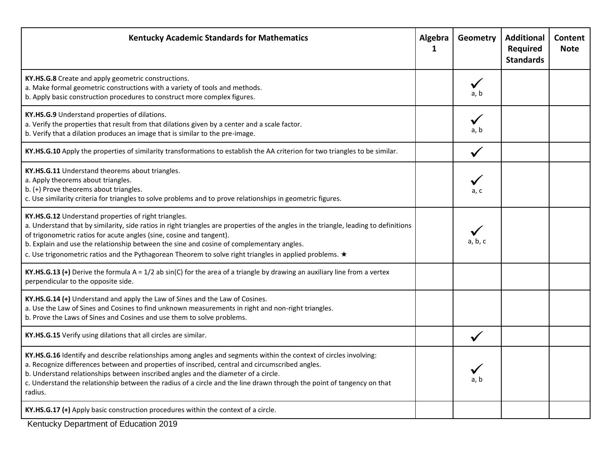| <b>Kentucky Academic Standards for Mathematics</b>                                                                                                                                                                                                                                                                                                                                                                                                                           | Algebra<br>1 | <b>Geometry</b> | <b>Additional</b><br><b>Required</b><br><b>Standards</b> | Content<br><b>Note</b> |
|------------------------------------------------------------------------------------------------------------------------------------------------------------------------------------------------------------------------------------------------------------------------------------------------------------------------------------------------------------------------------------------------------------------------------------------------------------------------------|--------------|-----------------|----------------------------------------------------------|------------------------|
| KY.HS.G.8 Create and apply geometric constructions.<br>a. Make formal geometric constructions with a variety of tools and methods.<br>b. Apply basic construction procedures to construct more complex figures.                                                                                                                                                                                                                                                              |              | a, b            |                                                          |                        |
| KY.HS.G.9 Understand properties of dilations.<br>a. Verify the properties that result from that dilations given by a center and a scale factor.<br>b. Verify that a dilation produces an image that is similar to the pre-image.                                                                                                                                                                                                                                             |              | a, b            |                                                          |                        |
| KY.HS.G.10 Apply the properties of similarity transformations to establish the AA criterion for two triangles to be similar.                                                                                                                                                                                                                                                                                                                                                 |              |                 |                                                          |                        |
| KY.HS.G.11 Understand theorems about triangles.<br>a. Apply theorems about triangles.<br>b. (+) Prove theorems about triangles.<br>c. Use similarity criteria for triangles to solve problems and to prove relationships in geometric figures.                                                                                                                                                                                                                               |              | a, c            |                                                          |                        |
| KY.HS.G.12 Understand properties of right triangles.<br>a. Understand that by similarity, side ratios in right triangles are properties of the angles in the triangle, leading to definitions<br>of trigonometric ratios for acute angles (sine, cosine and tangent).<br>b. Explain and use the relationship between the sine and cosine of complementary angles.<br>c. Use trigonometric ratios and the Pythagorean Theorem to solve right triangles in applied problems. * |              | a, b, c         |                                                          |                        |
| KY.HS.G.13 (+) Derive the formula $A = 1/2$ ab sin(C) for the area of a triangle by drawing an auxiliary line from a vertex<br>perpendicular to the opposite side.                                                                                                                                                                                                                                                                                                           |              |                 |                                                          |                        |
| KY.HS.G.14 (+) Understand and apply the Law of Sines and the Law of Cosines.<br>a. Use the Law of Sines and Cosines to find unknown measurements in right and non-right triangles.<br>b. Prove the Laws of Sines and Cosines and use them to solve problems.                                                                                                                                                                                                                 |              |                 |                                                          |                        |
| KY.HS.G.15 Verify using dilations that all circles are similar.                                                                                                                                                                                                                                                                                                                                                                                                              |              |                 |                                                          |                        |
| KY.HS.G.16 Identify and describe relationships among angles and segments within the context of circles involving:<br>a. Recognize differences between and properties of inscribed, central and circumscribed angles.<br>b. Understand relationships between inscribed angles and the diameter of a circle.<br>c. Understand the relationship between the radius of a circle and the line drawn through the point of tangency on that<br>radius.                              |              | a, b            |                                                          |                        |
| KY.HS.G.17 (+) Apply basic construction procedures within the context of a circle.                                                                                                                                                                                                                                                                                                                                                                                           |              |                 |                                                          |                        |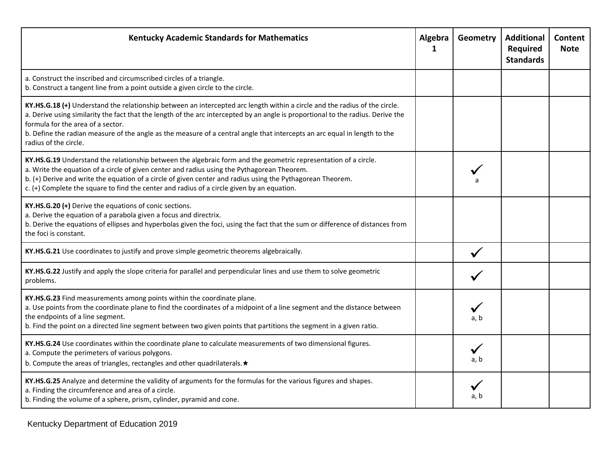| <b>Kentucky Academic Standards for Mathematics</b>                                                                                                                                                                                                                                                                                                                                                                                                        | Algebra<br>1 | Geometry | <b>Additional</b><br>Required<br><b>Standards</b> | Content<br><b>Note</b> |
|-----------------------------------------------------------------------------------------------------------------------------------------------------------------------------------------------------------------------------------------------------------------------------------------------------------------------------------------------------------------------------------------------------------------------------------------------------------|--------------|----------|---------------------------------------------------|------------------------|
| a. Construct the inscribed and circumscribed circles of a triangle.<br>b. Construct a tangent line from a point outside a given circle to the circle.                                                                                                                                                                                                                                                                                                     |              |          |                                                   |                        |
| KY.HS.G.18 (+) Understand the relationship between an intercepted arc length within a circle and the radius of the circle.<br>a. Derive using similarity the fact that the length of the arc intercepted by an angle is proportional to the radius. Derive the<br>formula for the area of a sector.<br>b. Define the radian measure of the angle as the measure of a central angle that intercepts an arc equal in length to the<br>radius of the circle. |              |          |                                                   |                        |
| KY.HS.G.19 Understand the relationship between the algebraic form and the geometric representation of a circle.<br>a. Write the equation of a circle of given center and radius using the Pythagorean Theorem.<br>b. (+) Derive and write the equation of a circle of given center and radius using the Pythagorean Theorem.<br>c. (+) Complete the square to find the center and radius of a circle given by an equation.                                |              |          |                                                   |                        |
| KY.HS.G.20 (+) Derive the equations of conic sections.<br>a. Derive the equation of a parabola given a focus and directrix.<br>b. Derive the equations of ellipses and hyperbolas given the foci, using the fact that the sum or difference of distances from<br>the foci is constant.                                                                                                                                                                    |              |          |                                                   |                        |
| KY.HS.G.21 Use coordinates to justify and prove simple geometric theorems algebraically.                                                                                                                                                                                                                                                                                                                                                                  |              |          |                                                   |                        |
| KY.HS.G.22 Justify and apply the slope criteria for parallel and perpendicular lines and use them to solve geometric<br>problems.                                                                                                                                                                                                                                                                                                                         |              |          |                                                   |                        |
| KY.HS.G.23 Find measurements among points within the coordinate plane.<br>a. Use points from the coordinate plane to find the coordinates of a midpoint of a line segment and the distance between<br>the endpoints of a line segment.<br>b. Find the point on a directed line segment between two given points that partitions the segment in a given ratio.                                                                                             |              | a, b     |                                                   |                        |
| KY.HS.G.24 Use coordinates within the coordinate plane to calculate measurements of two dimensional figures.<br>a. Compute the perimeters of various polygons.<br>b. Compute the areas of triangles, rectangles and other quadrilaterals. *                                                                                                                                                                                                               |              | a, b     |                                                   |                        |
| KY.HS.G.25 Analyze and determine the validity of arguments for the formulas for the various figures and shapes.<br>a. Finding the circumference and area of a circle.<br>b. Finding the volume of a sphere, prism, cylinder, pyramid and cone.                                                                                                                                                                                                            |              | a, b     |                                                   |                        |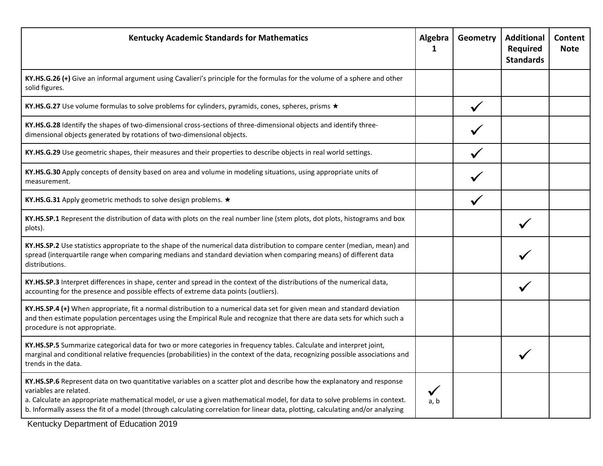| <b>Kentucky Academic Standards for Mathematics</b>                                                                                                                                                                                                                                                                                                                                                                 | Algebra<br>1 | Geometry | <b>Additional</b><br>Required<br><b>Standards</b> | Content<br><b>Note</b> |
|--------------------------------------------------------------------------------------------------------------------------------------------------------------------------------------------------------------------------------------------------------------------------------------------------------------------------------------------------------------------------------------------------------------------|--------------|----------|---------------------------------------------------|------------------------|
| KY.HS.G.26 (+) Give an informal argument using Cavalieri's principle for the formulas for the volume of a sphere and other<br>solid figures.                                                                                                                                                                                                                                                                       |              |          |                                                   |                        |
| KY.HS.G.27 Use volume formulas to solve problems for cylinders, pyramids, cones, spheres, prisms ★                                                                                                                                                                                                                                                                                                                 |              |          |                                                   |                        |
| KY.HS.G.28 Identify the shapes of two-dimensional cross-sections of three-dimensional objects and identify three-<br>dimensional objects generated by rotations of two-dimensional objects.                                                                                                                                                                                                                        |              |          |                                                   |                        |
| KY.HS.G.29 Use geometric shapes, their measures and their properties to describe objects in real world settings.                                                                                                                                                                                                                                                                                                   |              |          |                                                   |                        |
| KY.HS.G.30 Apply concepts of density based on area and volume in modeling situations, using appropriate units of<br>measurement.                                                                                                                                                                                                                                                                                   |              |          |                                                   |                        |
| KY.HS.G.31 Apply geometric methods to solve design problems. ★                                                                                                                                                                                                                                                                                                                                                     |              |          |                                                   |                        |
| KY.HS.SP.1 Represent the distribution of data with plots on the real number line (stem plots, dot plots, histograms and box<br>plots).                                                                                                                                                                                                                                                                             |              |          |                                                   |                        |
| KY.HS.SP.2 Use statistics appropriate to the shape of the numerical data distribution to compare center (median, mean) and<br>spread (interquartile range when comparing medians and standard deviation when comparing means) of different data<br>distributions.                                                                                                                                                  |              |          |                                                   |                        |
| KY.HS.SP.3 Interpret differences in shape, center and spread in the context of the distributions of the numerical data,<br>accounting for the presence and possible effects of extreme data points (outliers).                                                                                                                                                                                                     |              |          |                                                   |                        |
| KY.HS.SP.4 (+) When appropriate, fit a normal distribution to a numerical data set for given mean and standard deviation<br>and then estimate population percentages using the Empirical Rule and recognize that there are data sets for which such a<br>procedure is not appropriate.                                                                                                                             |              |          |                                                   |                        |
| KY.HS.SP.5 Summarize categorical data for two or more categories in frequency tables. Calculate and interpret joint,<br>marginal and conditional relative frequencies (probabilities) in the context of the data, recognizing possible associations and<br>trends in the data.                                                                                                                                     |              |          |                                                   |                        |
| KY.HS.SP.6 Represent data on two quantitative variables on a scatter plot and describe how the explanatory and response<br>variables are related.<br>a. Calculate an appropriate mathematical model, or use a given mathematical model, for data to solve problems in context.<br>b. Informally assess the fit of a model (through calculating correlation for linear data, plotting, calculating and/or analyzing | a, b         |          |                                                   |                        |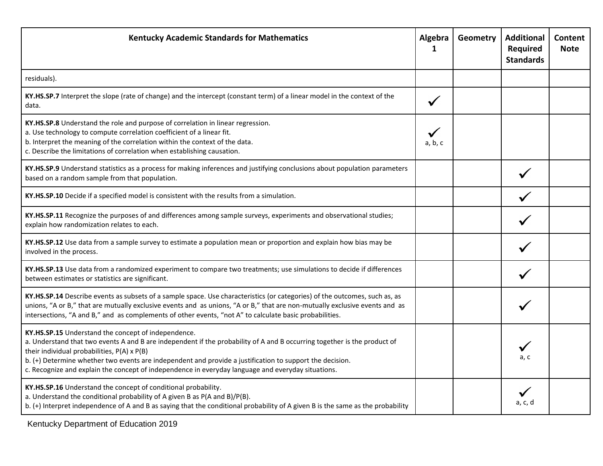| <b>Kentucky Academic Standards for Mathematics</b>                                                                                                                                                                                                                                                                                                                                                                                               | Algebra<br>1 | Geometry | <b>Additional</b><br>Required<br><b>Standards</b> | Content<br><b>Note</b> |
|--------------------------------------------------------------------------------------------------------------------------------------------------------------------------------------------------------------------------------------------------------------------------------------------------------------------------------------------------------------------------------------------------------------------------------------------------|--------------|----------|---------------------------------------------------|------------------------|
| residuals).                                                                                                                                                                                                                                                                                                                                                                                                                                      |              |          |                                                   |                        |
| KY.HS.SP.7 Interpret the slope (rate of change) and the intercept (constant term) of a linear model in the context of the<br>data.                                                                                                                                                                                                                                                                                                               | $\checkmark$ |          |                                                   |                        |
| KY.HS.SP.8 Understand the role and purpose of correlation in linear regression.<br>a. Use technology to compute correlation coefficient of a linear fit.<br>b. Interpret the meaning of the correlation within the context of the data.<br>c. Describe the limitations of correlation when establishing causation.                                                                                                                               | a, b, c      |          |                                                   |                        |
| KY.HS.SP.9 Understand statistics as a process for making inferences and justifying conclusions about population parameters<br>based on a random sample from that population.                                                                                                                                                                                                                                                                     |              |          |                                                   |                        |
| KY.HS.SP.10 Decide if a specified model is consistent with the results from a simulation.                                                                                                                                                                                                                                                                                                                                                        |              |          |                                                   |                        |
| KY.HS.SP.11 Recognize the purposes of and differences among sample surveys, experiments and observational studies;<br>explain how randomization relates to each.                                                                                                                                                                                                                                                                                 |              |          |                                                   |                        |
| KY.HS.SP.12 Use data from a sample survey to estimate a population mean or proportion and explain how bias may be<br>involved in the process.                                                                                                                                                                                                                                                                                                    |              |          |                                                   |                        |
| KY.HS.SP.13 Use data from a randomized experiment to compare two treatments; use simulations to decide if differences<br>between estimates or statistics are significant.                                                                                                                                                                                                                                                                        |              |          |                                                   |                        |
| KY.HS.SP.14 Describe events as subsets of a sample space. Use characteristics (or categories) of the outcomes, such as, as<br>unions, "A or B," that are mutually exclusive events and as unions, "A or B," that are non-mutually exclusive events and as<br>intersections, "A and B," and as complements of other events, "not A" to calculate basic probabilities.                                                                             |              |          |                                                   |                        |
| KY.HS.SP.15 Understand the concept of independence.<br>a. Understand that two events A and B are independent if the probability of A and B occurring together is the product of<br>their individual probabilities, P(A) x P(B)<br>b. (+) Determine whether two events are independent and provide a justification to support the decision.<br>c. Recognize and explain the concept of independence in everyday language and everyday situations. |              |          | a. c                                              |                        |
| KY.HS.SP.16 Understand the concept of conditional probability.<br>a. Understand the conditional probability of A given B as P(A and B)/P(B).<br>b. (+) Interpret independence of A and B as saying that the conditional probability of A given B is the same as the probability                                                                                                                                                                  |              |          | a, c, d                                           |                        |